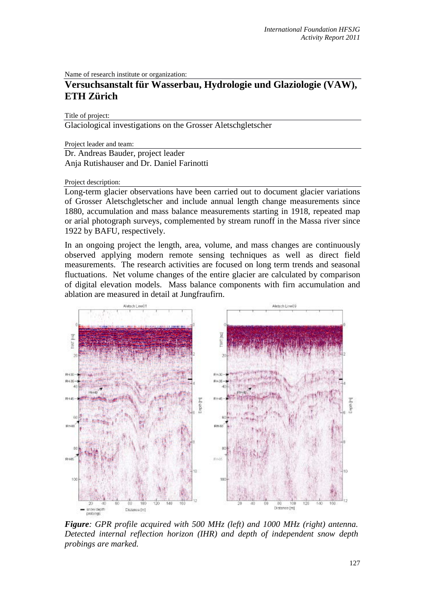Name of research institute or organization:

## **Versuchsanstalt für Wasserbau, Hydrologie und Glaziologie (VAW), ETH Zürich**

Title of project:

Glaciological investigations on the Grosser Aletschgletscher

Project leader and team:

Dr. Andreas Bauder, project leader Anja Rutishauser and Dr. Daniel Farinotti

Project description:

Long-term glacier observations have been carried out to document glacier variations of Grosser Aletschgletscher and include annual length change measurements since 1880, accumulation and mass balance measurements starting in 1918, repeated map or arial photograph surveys, complemented by stream runoff in the Massa river since 1922 by BAFU, respectively.

In an ongoing project the length, area, volume, and mass changes are continuously observed applying modern remote sensing techniques as well as direct field measurements. The research activities are focused on long term trends and seasonal fluctuations. Net volume changes of the entire glacier are calculated by comparison of digital elevation models. Mass balance components with firn accumulation and ablation are measured in detail at Jungfraufirn.



*Figure: GPR profile acquired with 500 MHz (left) and 1000 MHz (right) antenna. Detected internal reflection horizon (IHR) and depth of independent snow depth probings are marked.*